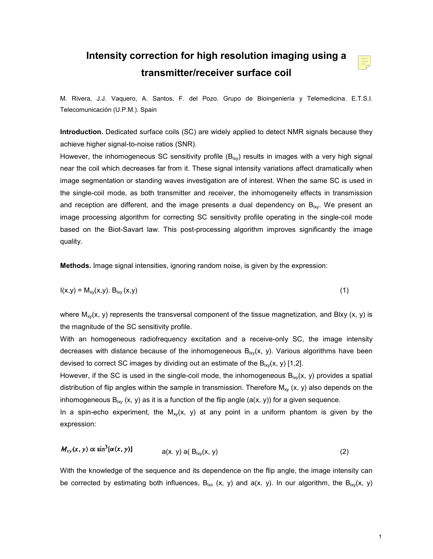## **Intensity correction for high resolution imaging using a transmitter/receiver surface coil**



M. Rivera, J.J. Vaquero, A. Santos, F. del Pozo. Grupo de Bioingeniería y Telemedicina. E.T.S.I. Telecomunicación (U.P.M.). Spain

**Introduction.** Dedicated surface coils (SC) are widely applied to detect NMR signals because they achieve higher signal-to-noise ratios (SNR).

However, the inhomogeneous SC sensitivity profile  $(B_{ixy})$  results in images with a very high signal near the coil which decreases far from it. These signal intensity variations affect dramatically when image segmentation or standing waves investigation are of interest. When the same SC is used in the single-coil mode, as both transmitter and receiver, the inhomogeneity effects in transmission and reception are different, and the image presents a dual dependency on  $B_{lxy}$ . We present an image processing algorithm for correcting SC sensitivity profile operating in the single-coil mode based on the Biot-Savart law. This post-processing algorithm improves significantly the image quality.

**Methods.** Image signal intensities, ignoring random noise, is given by the expression:

$$
I(x,y) = M_{xy}(x,y). B_{ixy}(x,y)
$$
 (1)

where  $M_{xy}(x, y)$  represents the transversal component of the tissue magnetization, and Blxy  $(x, y)$  is the magnitude of the SC sensitivity profile.

With an homogeneous radiofrequency excitation and a receive-only SC, the image intensity decreases with distance because of the inhomogeneous  $B_{lxy}(x, y)$ . Various algorithms have been devised to correct SC images by dividing out an estimate of the  $B_{lxy}(x, y)$  [1,2].

However, if the SC is used in the single-coil mode, the inhomogeneous  $B_{lxy}(x, y)$  provides a spatial distribution of flip angles within the sample in transmission. Therefore  $M_{xy}$  (x, y) also depends on the inhomogeneous  $B_{lxy}$  (x, y) as it is a function of the flip angle (a(x, y)) for a given sequence.

In a spin-echo experiment, the  $M_{xy}(x, y)$  at any point in a uniform phantom is given by the expression:

$$
M_{xy}(x, y) \propto \sin^2[\alpha(x, y)] \qquad \qquad a(x, y) \text{ a}(\text{B}_{|xy|}(x, y)) \qquad (2)
$$

 $\frac{1}{2}$   $\frac{1}{2}$   $\frac{1}{2}$   $\frac{1}{2}$   $\frac{1}{2}$   $\frac{1}{2}$ 

With the knowledge of the sequence and its dependence on the flip angle, the image intensity can be corrected by estimating both influences,  $B_{lxy}$  (x, y) and a(x. y). In our algorithm, the  $B_{lxy}(x, y)$